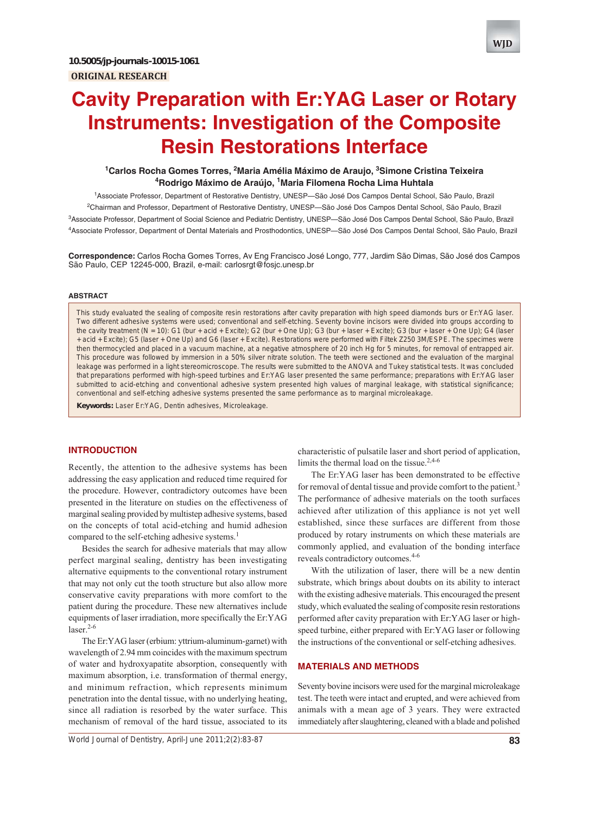# **Cavity Preparation with Er:YAG Laser or Rotary Instruments: Investigation of the Composite Resin Restorations Interface**

## <sup>1</sup> Carlos Rocha Gomes Torres, <sup>2</sup> Maria Amélia Máximo de Araujo, <sup>3</sup> Simone Cristina Teixeira **4 Rodrigo Máximo de Araújo, 1 Maria Filomena Rocha Lima Huhtala**

 Associate Professor, Department of Restorative Dentistry, UNESP—São José Dos Campos Dental School, São Paulo, Brazil Chairman and Professor, Department of Restorative Dentistry, UNESP—São José Dos Campos Dental School, São Paulo, Brazil Associate Professor, Department of Social Science and Pediatric Dentistry, UNESP—São José Dos Campos Dental School, São Paulo, Brazil Associate Professor, Department of Dental Materials and Prosthodontics, UNESP—São José Dos Campos Dental School, São Paulo, Brazil

**Correspondence:** Carlos Rocha Gomes Torres, Av Eng Francisco José Longo, 777, Jardim São Dimas, São José dos Campos São Paulo, CEP 12245-000, Brazil, e-mail: carlosrgt@fosjc.unesp.br

#### **ABSTRACT**

This study evaluated the sealing of composite resin restorations after cavity preparation with high speed diamonds burs or Er:YAG laser. Two different adhesive systems were used; conventional and self-etching. Seventy bovine incisors were divided into groups according to the cavity treatment (N = 10): G1 (bur + acid + Excite); G2 (bur + One Up); G3 (bur + laser + Excite); G3 (bur + laser + One Up); G4 (laser + acid + Excite); G5 (laser + One Up) and G6 (laser + Excite). Restorations were performed with Filtek Z250 3M/ESPE. The specimes were then thermocycled and placed in a vacuum machine, at a negative atmosphere of 20 inch Hg for 5 minutes, for removal of entrapped air. This procedure was followed by immersion in a 50% silver nitrate solution. The teeth were sectioned and the evaluation of the marginal leakage was performed in a light stereomicroscope. The results were submitted to the ANOVA and Tukey statistical tests. It was concluded that preparations performed with high-speed turbines and Er:YAG laser presented the same performance; preparations with Er:YAG laser submitted to acid-etching and conventional adhesive system presented high values of marginal leakage, with statistical significance; conventional and self-etching adhesive systems presented the same performance as to marginal microleakage.

**Keywords:** Laser Er:YAG, Dentin adhesives, Microleakage.

## **INTRODUCTION**

Recently, the attention to the adhesive systems has been addressing the easy application and reduced time required for the procedure. However, contradictory outcomes have been presented in the literature on studies on the effectiveness of marginal sealing provided by multistep adhesive systems, based on the concepts of total acid-etching and humid adhesion compared to the self-etching adhesive systems.<sup>1</sup>

Besides the search for adhesive materials that may allow perfect marginal sealing, dentistry has been investigating alternative equipments to the conventional rotary instrument that may not only cut the tooth structure but also allow more conservative cavity preparations with more comfort to the patient during the procedure. These new alternatives include equipments of laser irradiation, more specifically the Er:YAG  $laser.<sup>2-6</sup>$ 

The Er:YAG laser (erbium: yttrium-aluminum-garnet) with wavelength of 2.94 mm coincides with the maximum spectrum of water and hydroxyapatite absorption, consequently with maximum absorption, i.e. transformation of thermal energy, and minimum refraction, which represents minimum penetration into the dental tissue, with no underlying heating, since all radiation is resorbed by the water surface. This mechanism of removal of the hard tissue, associated to its

characteristic of pulsatile laser and short period of application, limits the thermal load on the tissue. $2,4-6$ 

The Er:YAG laser has been demonstrated to be effective for removal of dental tissue and provide comfort to the patient.<sup>3</sup> The performance of adhesive materials on the tooth surfaces achieved after utilization of this appliance is not yet well established, since these surfaces are different from those produced by rotary instruments on which these materials are commonly applied, and evaluation of the bonding interface reveals contradictory outcomes.<sup>4-6</sup>

With the utilization of laser, there will be a new dentin substrate, which brings about doubts on its ability to interact with the existing adhesive materials. This encouraged the present study, which evaluated the sealing of composite resin restorations performed after cavity preparation with Er:YAG laser or highspeed turbine, either prepared with Er:YAG laser or following the instructions of the conventional or self-etching adhesives.

## **MATERIALS AND METHODS**

Seventy bovine incisors were used for the marginal microleakage test. The teeth were intact and erupted, and were achieved from animals with a mean age of 3 years. They were extracted immediately after slaughtering, cleaned with a blade and polished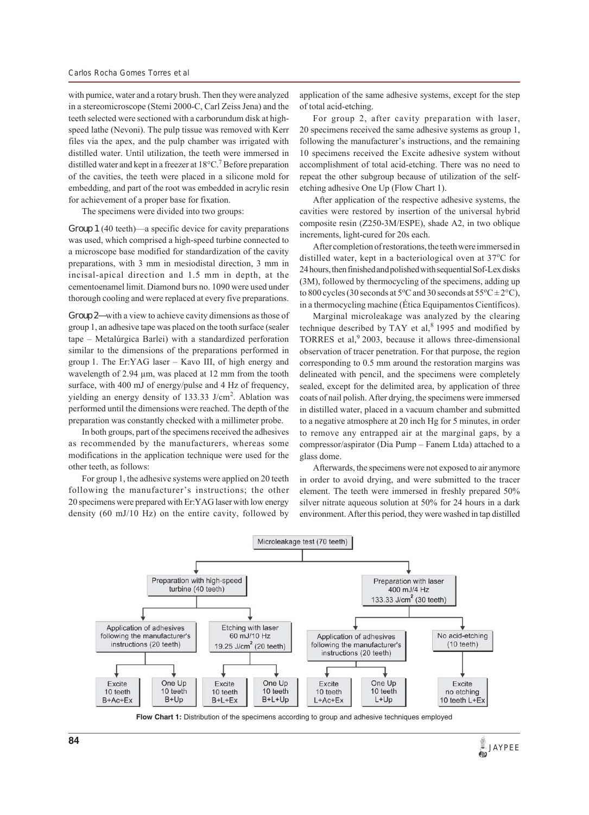with pumice, water and a rotary brush. Then they were analyzed in a stereomicroscope (Stemi 2000-C, Carl Zeiss Jena) and the teeth selected were sectioned with a carborundum disk at highspeed lathe (Nevoni). The pulp tissue was removed with Kerr files via the apex, and the pulp chamber was irrigated with distilled water. Until utilization, the teeth were immersed in distilled water and kept in a freezer at  $18^{\circ}$ C.<sup>7</sup> Before preparation of the cavities, the teeth were placed in a silicone mold for embedding, and part of the root was embedded in acrylic resin for achievement of a proper base for fixation.

The specimens were divided into two groups:

*Group 1* (40 teeth)—a specific device for cavity preparations was used, which comprised a high-speed turbine connected to a microscope base modified for standardization of the cavity preparations, with 3 mm in mesiodistal direction, 3 mm in incisal-apical direction and 1.5 mm in depth, at the cementoenamel limit. Diamond burs no. 1090 were used under thorough cooling and were replaced at every five preparations.

*Group 2—*with a view to achieve cavity dimensions as those of group 1, an adhesive tape was placed on the tooth surface (sealer tape – Metalúrgica Barlei) with a standardized perforation similar to the dimensions of the preparations performed in group 1. The Er:YAG laser – Kavo III, of high energy and wavelength of 2.94 μm, was placed at 12 mm from the tooth surface, with 400 mJ of energy/pulse and 4 Hz of frequency, yielding an energy density of 133.33 J/cm<sup>2</sup>. Ablation was performed until the dimensions were reached. The depth of the preparation was constantly checked with a millimeter probe.

In both groups, part of the specimens received the adhesives as recommended by the manufacturers, whereas some modifications in the application technique were used for the other teeth, as follows:

For group 1, the adhesive systems were applied on 20 teeth following the manufacturer's instructions; the other 20 specimens were prepared with Er:YAG laser with low energy density (60 mJ/10 Hz) on the entire cavity, followed by application of the same adhesive systems, except for the step of total acid-etching.

For group 2, after cavity preparation with laser, 20 specimens received the same adhesive systems as group 1, following the manufacturer's instructions, and the remaining 10 specimens received the Excite adhesive system without accomplishment of total acid-etching. There was no need to repeat the other subgroup because of utilization of the selfetching adhesive One Up (Flow Chart 1).

After application of the respective adhesive systems, the cavities were restored by insertion of the universal hybrid composite resin (Z250-3M/ESPE), shade A2, in two oblique increments, light-cured for 20s each.

After completion of restorations, the teeth were immersed in distilled water, kept in a bacteriological oven at 37°C for 24 hours, then finished and polished with sequential Sof-Lex disks (3M), followed by thermocycling of the specimens, adding up to 800 cycles (30 seconds at  $5^{\circ}$ C and 30 seconds at  $55^{\circ}$ C  $\pm$  2 $^{\circ}$ C), in a thermocycling machine (Ética Equipamentos Científicos).

Marginal microleakage was analyzed by the clearing technique described by TAY et al, $8$  1995 and modified by TORRES et al,  $92003$ , because it allows three-dimensional observation of tracer penetration. For that purpose, the region corresponding to 0.5 mm around the restoration margins was delineated with pencil, and the specimens were completely sealed, except for the delimited area, by application of three coats of nail polish. After drying, the specimens were immersed in distilled water, placed in a vacuum chamber and submitted to a negative atmosphere at 20 inch Hg for 5 minutes, in order to remove any entrapped air at the marginal gaps, by a compressor/aspirator (Dia Pump – Fanem Ltda) attached to a glass dome.

Afterwards, the specimens were not exposed to air anymore in order to avoid drying, and were submitted to the tracer element. The teeth were immersed in freshly prepared 50% silver nitrate aqueous solution at 50% for 24 hours in a dark environment. After this period, they were washed in tap distilled



**Flow Chart 1:** Distribution of the specimens according to group and adhesive techniques employed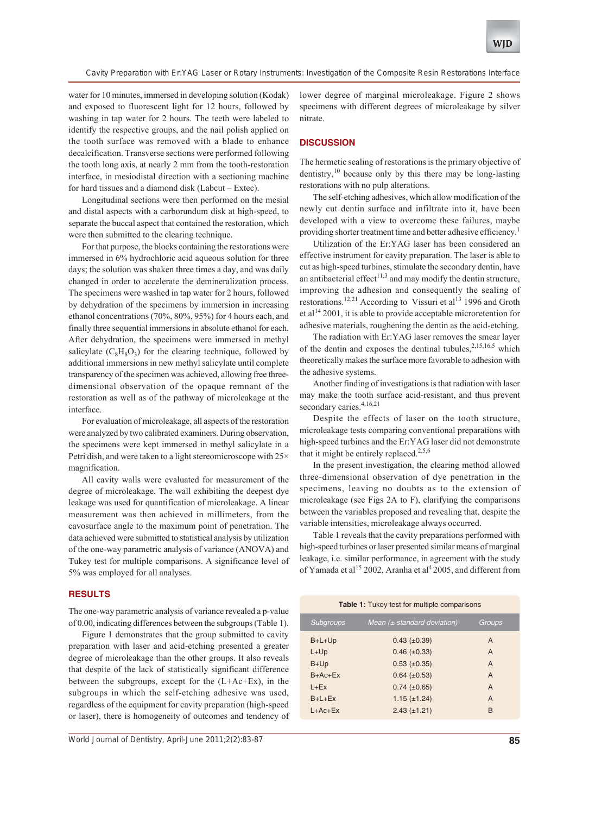*Cavity Preparation with Er:YAG Laser or Rotary Instruments: Investigation of the Composite Resin Restorations Interface*

water for 10 minutes, immersed in developing solution (Kodak) and exposed to fluorescent light for 12 hours, followed by washing in tap water for 2 hours. The teeth were labeled to identify the respective groups, and the nail polish applied on the tooth surface was removed with a blade to enhance decalcification. Transverse sections were performed following the tooth long axis, at nearly 2 mm from the tooth-restoration interface, in mesiodistal direction with a sectioning machine for hard tissues and a diamond disk (Labcut – Extec).

Longitudinal sections were then performed on the mesial and distal aspects with a carborundum disk at high-speed, to separate the buccal aspect that contained the restoration, which were then submitted to the clearing technique.

For that purpose, the blocks containing the restorations were immersed in 6% hydrochloric acid aqueous solution for three days; the solution was shaken three times a day, and was daily changed in order to accelerate the demineralization process. The specimens were washed in tap water for 2 hours, followed by dehydration of the specimens by immersion in increasing ethanol concentrations (70%, 80%, 95%) for 4 hours each, and finally three sequential immersions in absolute ethanol for each. After dehydration, the specimens were immersed in methyl salicylate  $(C_8H_8O_3)$  for the clearing technique, followed by additional immersions in new methyl salicylate until complete transparency of the specimen was achieved, allowing free threedimensional observation of the opaque remnant of the restoration as well as of the pathway of microleakage at the interface.

For evaluation of microleakage, all aspects of the restoration were analyzed by two calibrated examiners. During observation, the specimens were kept immersed in methyl salicylate in a Petri dish, and were taken to a light stereomicroscope with 25× magnification.

All cavity walls were evaluated for measurement of the degree of microleakage. The wall exhibiting the deepest dye leakage was used for quantification of microleakage. A linear measurement was then achieved in millimeters, from the cavosurface angle to the maximum point of penetration. The data achieved were submitted to statistical analysis by utilization of the one-way parametric analysis of variance (ANOVA) and Tukey test for multiple comparisons. A significance level of 5% was employed for all analyses.

## **RESULTS**

The one-way parametric analysis of variance revealed a p-value of 0.00, indicating differences between the subgroups (Table 1).

Figure 1 demonstrates that the group submitted to cavity preparation with laser and acid-etching presented a greater degree of microleakage than the other groups. It also reveals that despite of the lack of statistically significant difference between the subgroups, except for the (L+Ac+Ex), in the subgroups in which the self-etching adhesive was used, regardless of the equipment for cavity preparation (high-speed or laser), there is homogeneity of outcomes and tendency of

*World Journal of Dentistry, April-June 2011;2(2):83-87* **85**

lower degree of marginal microleakage. Figure 2 shows specimens with different degrees of microleakage by silver nitrate.

### **DISCUSSION**

The hermetic sealing of restorations is the primary objective of dentistry, $^{10}$  because only by this there may be long-lasting restorations with no pulp alterations.

The self-etching adhesives, which allow modification of the newly cut dentin surface and infiltrate into it, have been developed with a view to overcome these failures, maybe providing shorter treatment time and better adhesive efficiency.<sup>1</sup>

Utilization of the Er:YAG laser has been considered an effective instrument for cavity preparation. The laser is able to cut as high-speed turbines, stimulate the secondary dentin, have an antibacterial effect<sup>11,3</sup> and may modify the dentin structure, improving the adhesion and consequently the sealing of restorations.<sup>12,21</sup> According to Vissuri et al<sup>13</sup> 1996 and Groth et al<sup>14</sup> 2001, it is able to provide acceptable microretention for adhesive materials, roughening the dentin as the acid-etching.

The radiation with Er:YAG laser removes the smear layer of the dentin and exposes the dentinal tubules, $2,15,16,5$  which theoretically makes the surface more favorable to adhesion with the adhesive systems.

Another finding of investigations is that radiation with laser may make the tooth surface acid-resistant, and thus prevent secondary caries.<sup>4,16,21</sup>

Despite the effects of laser on the tooth structure, microleakage tests comparing conventional preparations with high-speed turbines and the Er:YAG laser did not demonstrate that it might be entirely replaced.<sup>2,5,6</sup>

In the present investigation, the clearing method allowed three-dimensional observation of dye penetration in the specimens, leaving no doubts as to the extension of microleakage (see Figs 2A to F), clarifying the comparisons between the variables proposed and revealing that, despite the variable intensities, microleakage always occurred.

Table 1 reveals that the cavity preparations performed with high-speed turbines or laser presented similar means of marginal leakage, i.e. similar performance, in agreement with the study of Yamada et al<sup>15</sup> 2002, Aranha et al<sup>4</sup> 2005, and different from

| <b>Table 1:</b> Tukey test for multiple comparisons |                                 |                |
|-----------------------------------------------------|---------------------------------|----------------|
| Subgroups                                           | Mean $(\pm$ standard deviation) | Groups         |
| $B+L+Up$                                            | $0.43 \ (\pm 0.39)$             | A              |
| $L+Up$                                              | $0.46 (\pm 0.33)$               | A              |
| $B+Up$                                              | $0.53 \ (\pm 0.35)$             | A              |
| $B + Ac + Ex$                                       | $0.64$ ( $\pm 0.53$ )           | A              |
| $I + Fx$                                            | $0.74 \ (\pm 0.65)$             | $\overline{A}$ |
| $B+I+Fx$                                            | $1.15 (\pm 1.24)$               | A              |
| $L+AC+Ex$                                           | $2.43 (\pm 1.21)$               | в              |
|                                                     |                                 |                |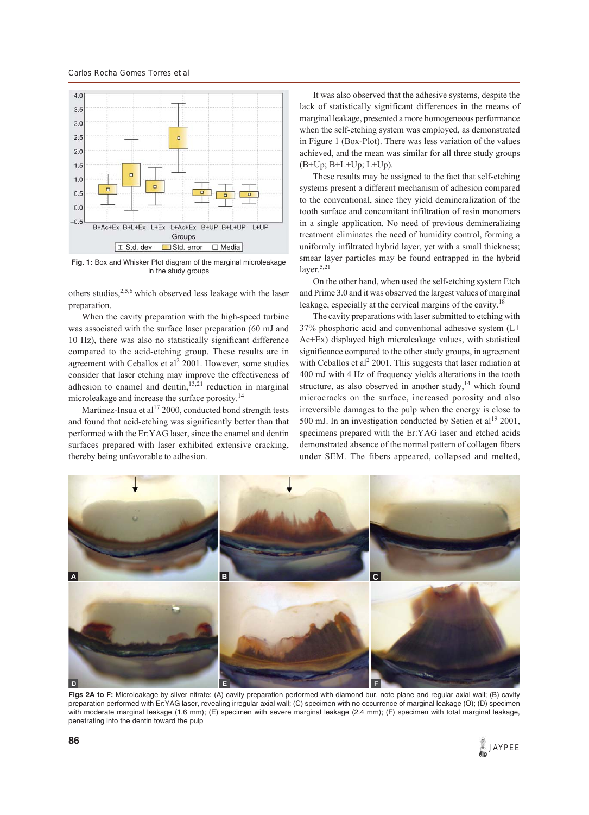*Carlos Rocha Gomes Torres et al*



**Fig. 1:** Box and Whisker Plot diagram of the marginal microleakage in the study groups

others studies,  $2,5,6$  which observed less leakage with the laser preparation.

When the cavity preparation with the high-speed turbine was associated with the surface laser preparation (60 mJ and 10 Hz), there was also no statistically significant difference compared to the acid-etching group. These results are in agreement with Ceballos et  $al^2$  2001. However, some studies consider that laser etching may improve the effectiveness of adhesion to enamel and dentin, $13,21$  reduction in marginal microleakage and increase the surface porosity.14

Martinez-Insua et al $^{17}$  2000, conducted bond strength tests and found that acid-etching was significantly better than that performed with the Er:YAG laser, since the enamel and dentin surfaces prepared with laser exhibited extensive cracking, thereby being unfavorable to adhesion.

It was also observed that the adhesive systems, despite the lack of statistically significant differences in the means of marginal leakage, presented a more homogeneous performance when the self-etching system was employed, as demonstrated in Figure 1 (Box-Plot). There was less variation of the values achieved, and the mean was similar for all three study groups (B+Up; B+L+Up; L+Up).

These results may be assigned to the fact that self-etching systems present a different mechanism of adhesion compared to the conventional, since they yield demineralization of the tooth surface and concomitant infiltration of resin monomers in a single application. No need of previous demineralizing treatment eliminates the need of humidity control, forming a uniformly infiltrated hybrid layer, yet with a small thickness; smear layer particles may be found entrapped in the hybrid layer.<sup>5,21</sup>

On the other hand, when used the self-etching system Etch and Prime 3.0 and it was observed the largest values of marginal leakage, especially at the cervical margins of the cavity.<sup>18</sup>

The cavity preparations with laser submitted to etching with 37% phosphoric acid and conventional adhesive system (L+ Ac+Ex) displayed high microleakage values, with statistical significance compared to the other study groups, in agreement with Ceballos et al<sup>2</sup> 2001. This suggests that laser radiation at 400 mJ with 4 Hz of frequency yields alterations in the tooth structure, as also observed in another study, $14$  which found microcracks on the surface, increased porosity and also irreversible damages to the pulp when the energy is close to 500 mJ. In an investigation conducted by Setien et al<sup>19</sup> 2001, specimens prepared with the Er:YAG laser and etched acids demonstrated absence of the normal pattern of collagen fibers under SEM. The fibers appeared, collapsed and melted,



**Figs 2A to F:** Microleakage by silver nitrate: (A) cavity preparation performed with diamond bur, note plane and regular axial wall; (B) cavity preparation performed with Er:YAG laser, revealing irregular axial wall; (C) specimen with no occurrence of marginal leakage (O); (D) specimen with moderate marginal leakage (1.6 mm); (E) specimen with severe marginal leakage (2.4 mm); (F) specimen with total marginal leakage, penetrating into the dentin toward the pulp